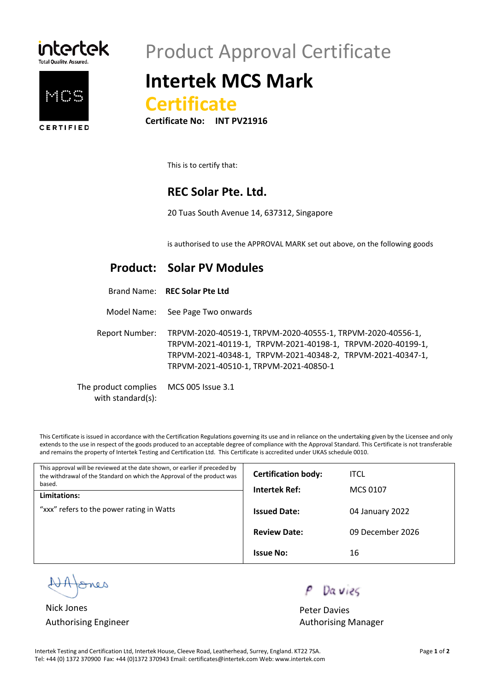



## Product Approval Certificate

## **Intertek MCS Mark**



**Certificate No:** 

This is to certify that:

#### **REC Solar Pte. Ltd.**

20 Tuas South Avenue 14, 637312, Singapore

is authorised to use the APPROVAL MARK set out above, on the following goods

#### **Product: Solar PV Modules**

Model Name: See Page Two onwards

Report Number: TRPVM-2020-40519-1, TRPVM-2020-40555-1, TRPVM-2020-40556-1, TRPVM-2021-40119-1, TRPVM-2021-40198-1, TRPVM-2020-40199-1, TRPVM-2021-40348-1, TRPVM-2021-40348-2, TRPVM-2021-40347-1, TRPVM-2021-40510-1, TRPVM-2021-40850-1

The product complies with standard(s): MCS 005 Issue 3.1

This Certificate is issued in accordance with the Certification Regulations governing its use and in reliance on the undertaking given by the Licensee and only extends to the use in respect of the goods produced to an acceptable degree of compliance with the Approval Standard. This Certificate is not transferable and remains the property of Intertek Testing and Certification Ltd. This Certificate is accredited under UKAS schedule 0010.

| This approval will be reviewed at the date shown, or earlier if preceded by<br>the withdrawal of the Standard on which the Approval of the product was<br>based.<br>Limitations: | <b>Certification body:</b> | <b>ITCL</b>      |
|----------------------------------------------------------------------------------------------------------------------------------------------------------------------------------|----------------------------|------------------|
|                                                                                                                                                                                  | Intertek Ref:              | MCS 0107         |
| "xxx" refers to the power rating in Watts                                                                                                                                        | <b>Issued Date:</b>        | 04 January 2022  |
|                                                                                                                                                                                  | <b>Review Date:</b>        | 09 December 2026 |
|                                                                                                                                                                                  | <b>Issue No:</b>           | 16               |

nes

Nick Jones **Peter Davies** Peter Davies

Da vies

Authorising Engineer **Authorising Manager** Authorising Manager